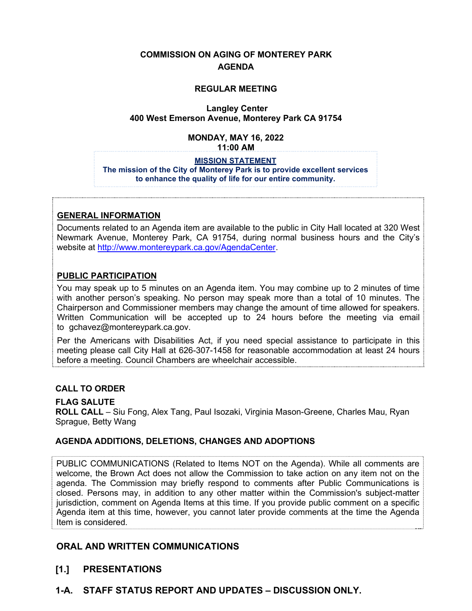# **COMMISSION ON AGING OF MONTEREY PARK AGENDA**

### **REGULAR MEETING**

### **Langley Center 400 West Emerson Avenue, Monterey Park CA 91754**

# **MONDAY, MAY 16, 2022**

**11:00 AM**

#### **MISSION STATEMENT**

**The mission of the City of Monterey Park is to provide excellent services to enhance the quality of life for our entire community.**

# **GENERAL INFORMATION**

Documents related to an Agenda item are available to the public in City Hall located at 320 West Newmark Avenue, Monterey Park, CA 91754, during normal business hours and the City's website a[t http://www.montereypark.ca.gov/AgendaCenter.](http://www.montereypark.ca.gov/AgendaCenter) 

# **PUBLIC PARTICIPATION**

You may speak up to 5 minutes on an Agenda item. You may combine up to 2 minutes of time with another person's speaking. No person may speak more than a total of 10 minutes. The Chairperson and Commissioner members may change the amount of time allowed for speakers. Written Communication will be accepted up to 24 hours before the meeting via email to gchavez@montereypark.ca.gov.

Per the Americans with Disabilities Act, if you need special assistance to participate in this meeting please call City Hall at 626-307-1458 for reasonable accommodation at least 24 hours before a meeting. Council Chambers are wheelchair accessible.

### **CALL TO ORDER**

# **FLAG SALUTE**

**ROLL CALL** – Siu Fong, Alex Tang, Paul Isozaki, Virginia Mason-Greene, Charles Mau, Ryan Sprague, Betty Wang

#### **AGENDA ADDITIONS, DELETIONS, CHANGES AND ADOPTIONS**

PUBLIC COMMUNICATIONS (Related to Items NOT on the Agenda). While all comments are welcome, the Brown Act does not allow the Commission to take action on any item not on the agenda. The Commission may briefly respond to comments after Public Communications is closed. Persons may, in addition to any other matter within the Commission's subject-matter jurisdiction, comment on Agenda Items at this time. If you provide public comment on a specific Agenda item at this time, however, you cannot later provide comments at the time the Agenda Item is considered.

# **ORAL AND WRITTEN COMMUNICATIONS**

# **[1.] PRESENTATIONS**

**1-A. STAFF STATUS REPORT AND UPDATES – DISCUSSION ONLY.**